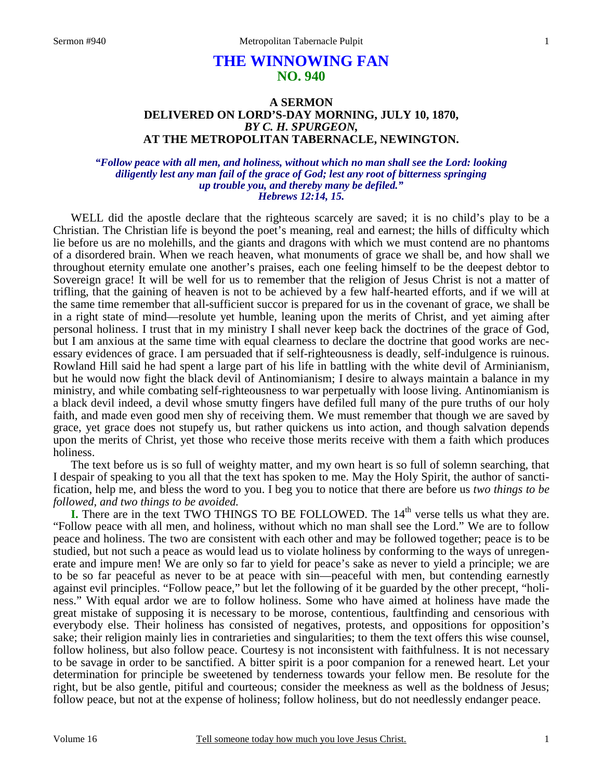# **THE WINNOWING FAN NO. 940**

## **A SERMON DELIVERED ON LORD'S-DAY MORNING, JULY 10, 1870,**  *BY C. H. SPURGEON,*  **AT THE METROPOLITAN TABERNACLE, NEWINGTON.**

#### *"Follow peace with all men, and holiness, without which no man shall see the Lord: looking diligently lest any man fail of the grace of God; lest any root of bitterness springing up trouble you, and thereby many be defiled." Hebrews 12:14, 15.*

WELL did the apostle declare that the righteous scarcely are saved; it is no child's play to be a Christian. The Christian life is beyond the poet's meaning, real and earnest; the hills of difficulty which lie before us are no molehills, and the giants and dragons with which we must contend are no phantoms of a disordered brain. When we reach heaven, what monuments of grace we shall be, and how shall we throughout eternity emulate one another's praises, each one feeling himself to be the deepest debtor to Sovereign grace! It will be well for us to remember that the religion of Jesus Christ is not a matter of trifling, that the gaining of heaven is not to be achieved by a few half-hearted efforts, and if we will at the same time remember that all-sufficient succor is prepared for us in the covenant of grace, we shall be in a right state of mind—resolute yet humble, leaning upon the merits of Christ, and yet aiming after personal holiness. I trust that in my ministry I shall never keep back the doctrines of the grace of God, but I am anxious at the same time with equal clearness to declare the doctrine that good works are necessary evidences of grace. I am persuaded that if self-righteousness is deadly, self-indulgence is ruinous. Rowland Hill said he had spent a large part of his life in battling with the white devil of Arminianism, but he would now fight the black devil of Antinomianism; I desire to always maintain a balance in my ministry, and while combating self-righteousness to war perpetually with loose living. Antinomianism is a black devil indeed, a devil whose smutty fingers have defiled full many of the pure truths of our holy faith, and made even good men shy of receiving them. We must remember that though we are saved by grace, yet grace does not stupefy us, but rather quickens us into action, and though salvation depends upon the merits of Christ, yet those who receive those merits receive with them a faith which produces holiness.

The text before us is so full of weighty matter, and my own heart is so full of solemn searching, that I despair of speaking to you all that the text has spoken to me. May the Holy Spirit, the author of sanctification, help me, and bless the word to you. I beg you to notice that there are before us *two things to be followed, and two things to be avoided.*

**I.** There are in the text TWO THINGS TO BE FOLLOWED. The 14<sup>th</sup> verse tells us what they are. "Follow peace with all men, and holiness, without which no man shall see the Lord." We are to follow peace and holiness. The two are consistent with each other and may be followed together; peace is to be studied, but not such a peace as would lead us to violate holiness by conforming to the ways of unregenerate and impure men! We are only so far to yield for peace's sake as never to yield a principle; we are to be so far peaceful as never to be at peace with sin—peaceful with men, but contending earnestly against evil principles. "Follow peace," but let the following of it be guarded by the other precept, "holiness." With equal ardor we are to follow holiness. Some who have aimed at holiness have made the great mistake of supposing it is necessary to be morose, contentious, faultfinding and censorious with everybody else. Their holiness has consisted of negatives, protests, and oppositions for opposition's sake; their religion mainly lies in contrarieties and singularities; to them the text offers this wise counsel, follow holiness, but also follow peace. Courtesy is not inconsistent with faithfulness. It is not necessary to be savage in order to be sanctified. A bitter spirit is a poor companion for a renewed heart. Let your determination for principle be sweetened by tenderness towards your fellow men. Be resolute for the right, but be also gentle, pitiful and courteous; consider the meekness as well as the boldness of Jesus; follow peace, but not at the expense of holiness; follow holiness, but do not needlessly endanger peace.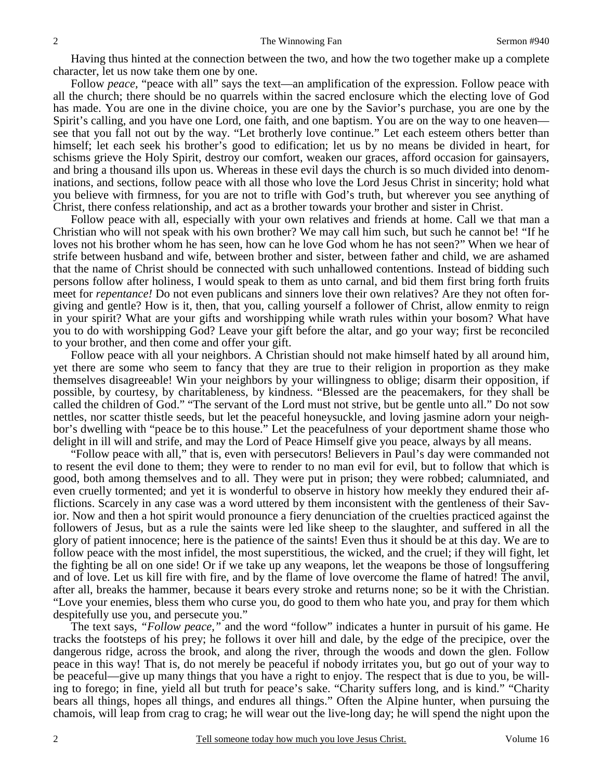Having thus hinted at the connection between the two, and how the two together make up a complete character, let us now take them one by one.

Follow *peace*, "peace with all" says the text—an amplification of the expression. Follow peace with all the church; there should be no quarrels within the sacred enclosure which the electing love of God has made. You are one in the divine choice, you are one by the Savior's purchase, you are one by the Spirit's calling, and you have one Lord, one faith, and one baptism. You are on the way to one heaven see that you fall not out by the way. "Let brotherly love continue." Let each esteem others better than himself; let each seek his brother's good to edification; let us by no means be divided in heart, for schisms grieve the Holy Spirit, destroy our comfort, weaken our graces, afford occasion for gainsayers, and bring a thousand ills upon us. Whereas in these evil days the church is so much divided into denominations, and sections, follow peace with all those who love the Lord Jesus Christ in sincerity; hold what you believe with firmness, for you are not to trifle with God's truth, but wherever you see anything of Christ, there confess relationship, and act as a brother towards your brother and sister in Christ.

Follow peace with all, especially with your own relatives and friends at home. Call we that man a Christian who will not speak with his own brother? We may call him such, but such he cannot be! "If he loves not his brother whom he has seen, how can he love God whom he has not seen?" When we hear of strife between husband and wife, between brother and sister, between father and child, we are ashamed that the name of Christ should be connected with such unhallowed contentions. Instead of bidding such persons follow after holiness, I would speak to them as unto carnal, and bid them first bring forth fruits meet for *repentance!* Do not even publicans and sinners love their own relatives? Are they not often forgiving and gentle? How is it, then, that you, calling yourself a follower of Christ, allow enmity to reign in your spirit? What are your gifts and worshipping while wrath rules within your bosom? What have you to do with worshipping God? Leave your gift before the altar, and go your way; first be reconciled to your brother, and then come and offer your gift.

Follow peace with all your neighbors. A Christian should not make himself hated by all around him, yet there are some who seem to fancy that they are true to their religion in proportion as they make themselves disagreeable! Win your neighbors by your willingness to oblige; disarm their opposition, if possible, by courtesy, by charitableness, by kindness. "Blessed are the peacemakers, for they shall be called the children of God." "The servant of the Lord must not strive, but be gentle unto all." Do not sow nettles, nor scatter thistle seeds, but let the peaceful honeysuckle, and loving jasmine adorn your neighbor's dwelling with "peace be to this house." Let the peacefulness of your deportment shame those who delight in ill will and strife, and may the Lord of Peace Himself give you peace, always by all means.

"Follow peace with all," that is, even with persecutors! Believers in Paul's day were commanded not to resent the evil done to them; they were to render to no man evil for evil, but to follow that which is good, both among themselves and to all. They were put in prison; they were robbed; calumniated, and even cruelly tormented; and yet it is wonderful to observe in history how meekly they endured their afflictions. Scarcely in any case was a word uttered by them inconsistent with the gentleness of their Savior. Now and then a hot spirit would pronounce a fiery denunciation of the cruelties practiced against the followers of Jesus, but as a rule the saints were led like sheep to the slaughter, and suffered in all the glory of patient innocence; here is the patience of the saints! Even thus it should be at this day. We are to follow peace with the most infidel, the most superstitious, the wicked, and the cruel; if they will fight, let the fighting be all on one side! Or if we take up any weapons, let the weapons be those of longsuffering and of love. Let us kill fire with fire, and by the flame of love overcome the flame of hatred! The anvil, after all, breaks the hammer, because it bears every stroke and returns none; so be it with the Christian. "Love your enemies, bless them who curse you, do good to them who hate you, and pray for them which despitefully use you, and persecute you."

The text says, *"Follow peace,"* and the word "follow" indicates a hunter in pursuit of his game. He tracks the footsteps of his prey; he follows it over hill and dale, by the edge of the precipice, over the dangerous ridge, across the brook, and along the river, through the woods and down the glen. Follow peace in this way! That is, do not merely be peaceful if nobody irritates you, but go out of your way to be peaceful—give up many things that you have a right to enjoy. The respect that is due to you, be willing to forego; in fine, yield all but truth for peace's sake. "Charity suffers long, and is kind." "Charity bears all things, hopes all things, and endures all things." Often the Alpine hunter, when pursuing the chamois, will leap from crag to crag; he will wear out the live-long day; he will spend the night upon the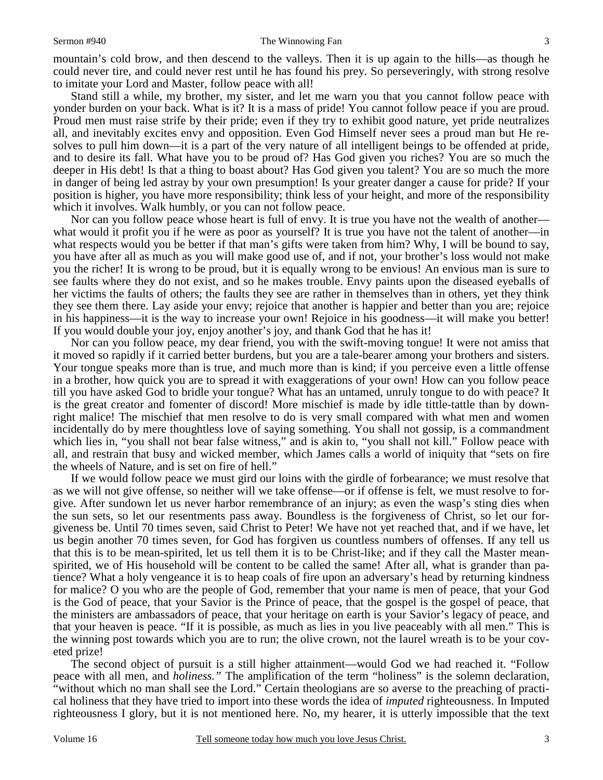mountain's cold brow, and then descend to the valleys. Then it is up again to the hills—as though he could never tire, and could never rest until he has found his prey. So perseveringly, with strong resolve to imitate your Lord and Master, follow peace with all!

Stand still a while, my brother, my sister, and let me warn you that you cannot follow peace with yonder burden on your back. What is it? It is a mass of pride! You cannot follow peace if you are proud. Proud men must raise strife by their pride; even if they try to exhibit good nature, yet pride neutralizes all, and inevitably excites envy and opposition. Even God Himself never sees a proud man but He resolves to pull him down—it is a part of the very nature of all intelligent beings to be offended at pride, and to desire its fall. What have you to be proud of? Has God given you riches? You are so much the deeper in His debt! Is that a thing to boast about? Has God given you talent? You are so much the more in danger of being led astray by your own presumption! Is your greater danger a cause for pride? If your position is higher, you have more responsibility; think less of your height, and more of the responsibility which it involves. Walk humbly, or you can not follow peace.

Nor can you follow peace whose heart is full of envy. It is true you have not the wealth of another what would it profit you if he were as poor as yourself? It is true you have not the talent of another—in what respects would you be better if that man's gifts were taken from him? Why, I will be bound to say, you have after all as much as you will make good use of, and if not, your brother's loss would not make you the richer! It is wrong to be proud, but it is equally wrong to be envious! An envious man is sure to see faults where they do not exist, and so he makes trouble. Envy paints upon the diseased eyeballs of her victims the faults of others; the faults they see are rather in themselves than in others, yet they think they see them there. Lay aside your envy; rejoice that another is happier and better than you are; rejoice in his happiness—it is the way to increase your own! Rejoice in his goodness—it will make you better! If you would double your joy, enjoy another's joy, and thank God that he has it!

Nor can you follow peace, my dear friend, you with the swift-moving tongue! It were not amiss that it moved so rapidly if it carried better burdens, but you are a tale-bearer among your brothers and sisters. Your tongue speaks more than is true, and much more than is kind; if you perceive even a little offense in a brother, how quick you are to spread it with exaggerations of your own! How can you follow peace till you have asked God to bridle your tongue? What has an untamed, unruly tongue to do with peace? It is the great creator and fomenter of discord! More mischief is made by idle tittle-tattle than by downright malice! The mischief that men resolve to do is very small compared with what men and women incidentally do by mere thoughtless love of saying something. You shall not gossip, is a commandment which lies in, "you shall not bear false witness," and is akin to, "you shall not kill." Follow peace with all, and restrain that busy and wicked member, which James calls a world of iniquity that "sets on fire the wheels of Nature, and is set on fire of hell."

If we would follow peace we must gird our loins with the girdle of forbearance; we must resolve that as we will not give offense, so neither will we take offense—or if offense is felt, we must resolve to forgive. After sundown let us never harbor remembrance of an injury; as even the wasp's sting dies when the sun sets, so let our resentments pass away. Boundless is the forgiveness of Christ, so let our forgiveness be. Until 70 times seven, said Christ to Peter! We have not yet reached that, and if we have, let us begin another 70 times seven, for God has forgiven us countless numbers of offenses. If any tell us that this is to be mean-spirited, let us tell them it is to be Christ-like; and if they call the Master meanspirited, we of His household will be content to be called the same! After all, what is grander than patience? What a holy vengeance it is to heap coals of fire upon an adversary's head by returning kindness for malice? O you who are the people of God, remember that your name is men of peace, that your God is the God of peace, that your Savior is the Prince of peace, that the gospel is the gospel of peace, that the ministers are ambassadors of peace, that your heritage on earth is your Savior's legacy of peace, and that your heaven is peace. "If it is possible, as much as lies in you live peaceably with all men." This is the winning post towards which you are to run; the olive crown, not the laurel wreath is to be your coveted prize!

The second object of pursuit is a still higher attainment—would God we had reached it. "Follow peace with all men, and *holiness."* The amplification of the term "holiness" is the solemn declaration, "without which no man shall see the Lord." Certain theologians are so averse to the preaching of practical holiness that they have tried to import into these words the idea of *imputed* righteousness. In Imputed righteousness I glory, but it is not mentioned here. No, my hearer, it is utterly impossible that the text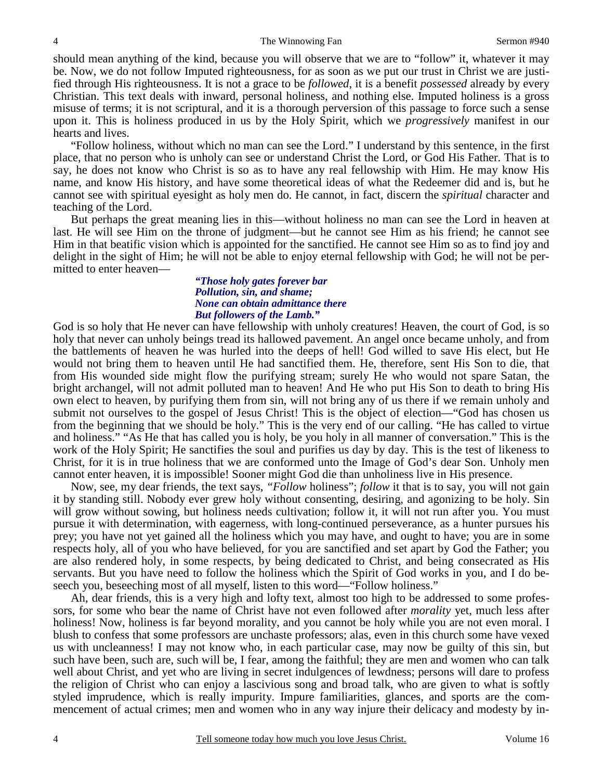should mean anything of the kind, because you will observe that we are to "follow" it, whatever it may be. Now, we do not follow Imputed righteousness, for as soon as we put our trust in Christ we are justified through His righteousness. It is not a grace to be *followed*, it is a benefit *possessed* already by every Christian. This text deals with inward, personal holiness, and nothing else. Imputed holiness is a gross misuse of terms; it is not scriptural, and it is a thorough perversion of this passage to force such a sense upon it. This is holiness produced in us by the Holy Spirit, which we *progressively* manifest in our hearts and lives.

"Follow holiness, without which no man can see the Lord." I understand by this sentence, in the first place, that no person who is unholy can see or understand Christ the Lord, or God His Father. That is to say, he does not know who Christ is so as to have any real fellowship with Him. He may know His name, and know His history, and have some theoretical ideas of what the Redeemer did and is, but he cannot see with spiritual eyesight as holy men do. He cannot, in fact, discern the *spiritual* character and teaching of the Lord.

But perhaps the great meaning lies in this—without holiness no man can see the Lord in heaven at last. He will see Him on the throne of judgment—but he cannot see Him as his friend; he cannot see Him in that beatific vision which is appointed for the sanctified. He cannot see Him so as to find joy and delight in the sight of Him; he will not be able to enjoy eternal fellowship with God; he will not be permitted to enter heaven—

### *"Those holy gates forever bar Pollution, sin, and shame; None can obtain admittance there But followers of the Lamb."*

God is so holy that He never can have fellowship with unholy creatures! Heaven, the court of God, is so holy that never can unholy beings tread its hallowed pavement. An angel once became unholy, and from the battlements of heaven he was hurled into the deeps of hell! God willed to save His elect, but He would not bring them to heaven until He had sanctified them. He, therefore, sent His Son to die, that from His wounded side might flow the purifying stream; surely He who would not spare Satan, the bright archangel, will not admit polluted man to heaven! And He who put His Son to death to bring His own elect to heaven, by purifying them from sin, will not bring any of us there if we remain unholy and submit not ourselves to the gospel of Jesus Christ! This is the object of election—"God has chosen us from the beginning that we should be holy." This is the very end of our calling. "He has called to virtue and holiness." "As He that has called you is holy, be you holy in all manner of conversation." This is the work of the Holy Spirit; He sanctifies the soul and purifies us day by day. This is the test of likeness to Christ, for it is in true holiness that we are conformed unto the Image of God's dear Son. Unholy men cannot enter heaven, it is impossible! Sooner might God die than unholiness live in His presence.

Now, see, my dear friends, the text says, *"Follow* holiness"; *follow* it that is to say, you will not gain it by standing still. Nobody ever grew holy without consenting, desiring, and agonizing to be holy. Sin will grow without sowing, but holiness needs cultivation; follow it, it will not run after you. You must pursue it with determination, with eagerness, with long-continued perseverance, as a hunter pursues his prey; you have not yet gained all the holiness which you may have, and ought to have; you are in some respects holy, all of you who have believed, for you are sanctified and set apart by God the Father; you are also rendered holy, in some respects, by being dedicated to Christ, and being consecrated as His servants. But you have need to follow the holiness which the Spirit of God works in you, and I do beseech you, beseeching most of all myself, listen to this word—"Follow holiness."

Ah, dear friends, this is a very high and lofty text, almost too high to be addressed to some professors, for some who bear the name of Christ have not even followed after *morality* yet, much less after holiness! Now, holiness is far beyond morality, and you cannot be holy while you are not even moral. I blush to confess that some professors are unchaste professors; alas, even in this church some have vexed us with uncleanness! I may not know who, in each particular case, may now be guilty of this sin, but such have been, such are, such will be, I fear, among the faithful; they are men and women who can talk well about Christ, and yet who are living in secret indulgences of lewdness; persons will dare to profess the religion of Christ who can enjoy a lascivious song and broad talk, who are given to what is softly styled imprudence, which is really impurity. Impure familiarities, glances, and sports are the commencement of actual crimes; men and women who in any way injure their delicacy and modesty by in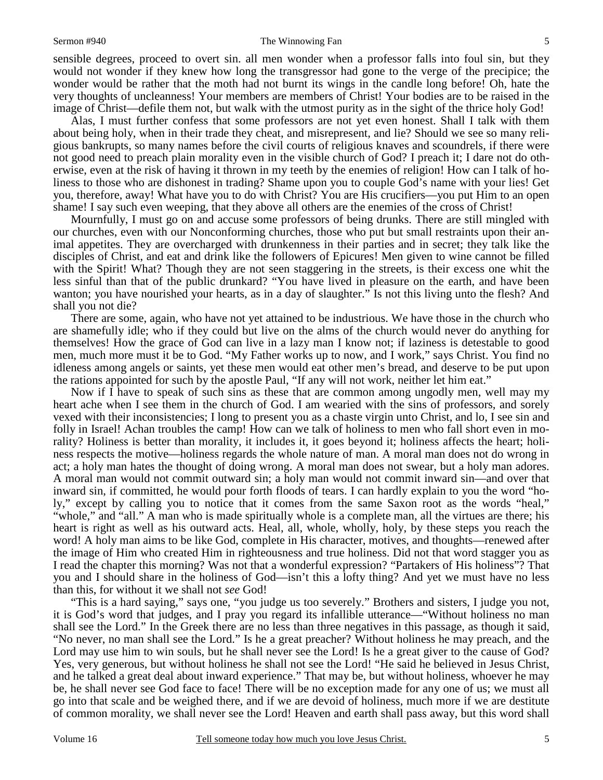sensible degrees, proceed to overt sin. all men wonder when a professor falls into foul sin, but they would not wonder if they knew how long the transgressor had gone to the verge of the precipice; the wonder would be rather that the moth had not burnt its wings in the candle long before! Oh, hate the very thoughts of uncleanness! Your members are members of Christ! Your bodies are to be raised in the image of Christ—defile them not, but walk with the utmost purity as in the sight of the thrice holy God!

Alas, I must further confess that some professors are not yet even honest. Shall I talk with them about being holy, when in their trade they cheat, and misrepresent, and lie? Should we see so many religious bankrupts, so many names before the civil courts of religious knaves and scoundrels, if there were not good need to preach plain morality even in the visible church of God? I preach it; I dare not do otherwise, even at the risk of having it thrown in my teeth by the enemies of religion! How can I talk of holiness to those who are dishonest in trading? Shame upon you to couple God's name with your lies! Get you, therefore, away! What have you to do with Christ? You are His crucifiers—you put Him to an open shame! I say such even weeping, that they above all others are the enemies of the cross of Christ!

Mournfully, I must go on and accuse some professors of being drunks. There are still mingled with our churches, even with our Nonconforming churches, those who put but small restraints upon their animal appetites. They are overcharged with drunkenness in their parties and in secret; they talk like the disciples of Christ, and eat and drink like the followers of Epicures! Men given to wine cannot be filled with the Spirit! What? Though they are not seen staggering in the streets, is their excess one whit the less sinful than that of the public drunkard? "You have lived in pleasure on the earth, and have been wanton; you have nourished your hearts, as in a day of slaughter." Is not this living unto the flesh? And shall you not die?

There are some, again, who have not yet attained to be industrious. We have those in the church who are shamefully idle; who if they could but live on the alms of the church would never do anything for themselves! How the grace of God can live in a lazy man I know not; if laziness is detestable to good men, much more must it be to God. "My Father works up to now, and I work," says Christ. You find no idleness among angels or saints, yet these men would eat other men's bread, and deserve to be put upon the rations appointed for such by the apostle Paul, "If any will not work, neither let him eat."

Now if I have to speak of such sins as these that are common among ungodly men, well may my heart ache when I see them in the church of God. I am wearied with the sins of professors, and sorely vexed with their inconsistencies; I long to present you as a chaste virgin unto Christ, and lo, I see sin and folly in Israel! Achan troubles the camp! How can we talk of holiness to men who fall short even in morality? Holiness is better than morality, it includes it, it goes beyond it; holiness affects the heart; holiness respects the motive—holiness regards the whole nature of man. A moral man does not do wrong in act; a holy man hates the thought of doing wrong. A moral man does not swear, but a holy man adores. A moral man would not commit outward sin; a holy man would not commit inward sin—and over that inward sin, if committed, he would pour forth floods of tears. I can hardly explain to you the word "holy," except by calling you to notice that it comes from the same Saxon root as the words "heal," "whole," and "all." A man who is made spiritually whole is a complete man, all the virtues are there; his heart is right as well as his outward acts. Heal, all, whole, wholly, holy, by these steps you reach the word! A holy man aims to be like God, complete in His character, motives, and thoughts—renewed after the image of Him who created Him in righteousness and true holiness. Did not that word stagger you as I read the chapter this morning? Was not that a wonderful expression? "Partakers of His holiness"? That you and I should share in the holiness of God—isn't this a lofty thing? And yet we must have no less than this, for without it we shall not *see* God!

"This is a hard saying," says one, "you judge us too severely." Brothers and sisters, I judge you not, it is God's word that judges, and I pray you regard its infallible utterance—"Without holiness no man shall see the Lord." In the Greek there are no less than three negatives in this passage, as though it said, "No never, no man shall see the Lord." Is he a great preacher? Without holiness he may preach, and the Lord may use him to win souls, but he shall never see the Lord! Is he a great giver to the cause of God? Yes, very generous, but without holiness he shall not see the Lord! "He said he believed in Jesus Christ, and he talked a great deal about inward experience." That may be, but without holiness, whoever he may be, he shall never see God face to face! There will be no exception made for any one of us; we must all go into that scale and be weighed there, and if we are devoid of holiness, much more if we are destitute of common morality, we shall never see the Lord! Heaven and earth shall pass away, but this word shall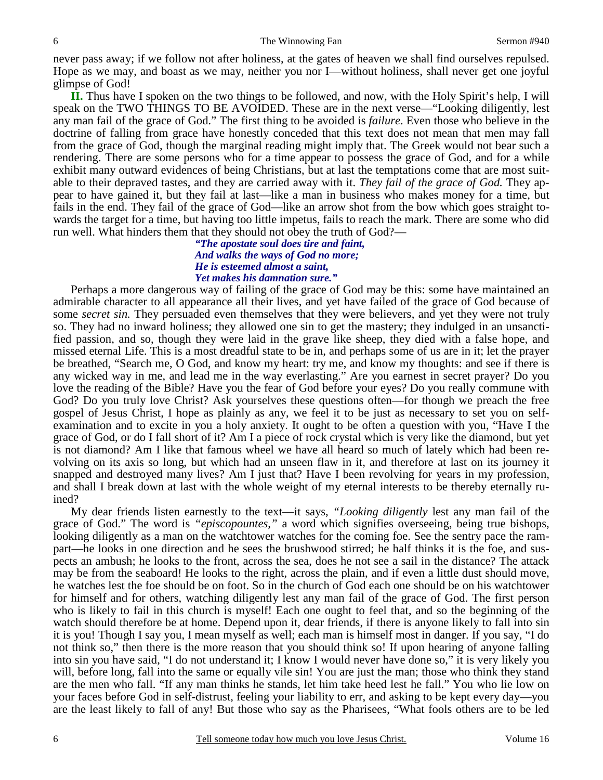never pass away; if we follow not after holiness, at the gates of heaven we shall find ourselves repulsed. Hope as we may, and boast as we may, neither you nor I—without holiness, shall never get one joyful glimpse of God!

**II.** Thus have I spoken on the two things to be followed, and now, with the Holy Spirit's help, I will speak on the TWO THINGS TO BE AVOIDED. These are in the next verse—"Looking diligently, lest any man fail of the grace of God." The first thing to be avoided is *failure*. Even those who believe in the doctrine of falling from grace have honestly conceded that this text does not mean that men may fall from the grace of God, though the marginal reading might imply that. The Greek would not bear such a rendering. There are some persons who for a time appear to possess the grace of God, and for a while exhibit many outward evidences of being Christians, but at last the temptations come that are most suitable to their depraved tastes, and they are carried away with it. *They fail of the grace of God.* They appear to have gained it, but they fail at last—like a man in business who makes money for a time, but fails in the end. They fail of the grace of God—like an arrow shot from the bow which goes straight towards the target for a time, but having too little impetus, fails to reach the mark. There are some who did run well. What hinders them that they should not obey the truth of God?—

*"The apostate soul does tire and faint, And walks the ways of God no more; He is esteemed almost a saint, Yet makes his damnation sure."* 

Perhaps a more dangerous way of failing of the grace of God may be this: some have maintained an admirable character to all appearance all their lives, and yet have failed of the grace of God because of some *secret sin.* They persuaded even themselves that they were believers, and yet they were not truly so. They had no inward holiness; they allowed one sin to get the mastery; they indulged in an unsanctified passion, and so, though they were laid in the grave like sheep, they died with a false hope, and missed eternal Life. This is a most dreadful state to be in, and perhaps some of us are in it; let the prayer be breathed, "Search me, O God, and know my heart: try me, and know my thoughts: and see if there is any wicked way in me, and lead me in the way everlasting." Are you earnest in secret prayer? Do you love the reading of the Bible? Have you the fear of God before your eyes? Do you really commune with God? Do you truly love Christ? Ask yourselves these questions often—for though we preach the free gospel of Jesus Christ, I hope as plainly as any, we feel it to be just as necessary to set you on selfexamination and to excite in you a holy anxiety. It ought to be often a question with you, "Have I the grace of God, or do I fall short of it? Am I a piece of rock crystal which is very like the diamond, but yet is not diamond? Am I like that famous wheel we have all heard so much of lately which had been revolving on its axis so long, but which had an unseen flaw in it, and therefore at last on its journey it snapped and destroyed many lives? Am I just that? Have I been revolving for years in my profession, and shall I break down at last with the whole weight of my eternal interests to be thereby eternally ruined?

My dear friends listen earnestly to the text—it says, *"Looking diligently* lest any man fail of the grace of God." The word is *"episcopountes,"* a word which signifies overseeing, being true bishops, looking diligently as a man on the watchtower watches for the coming foe. See the sentry pace the rampart—he looks in one direction and he sees the brushwood stirred; he half thinks it is the foe, and suspects an ambush; he looks to the front, across the sea, does he not see a sail in the distance? The attack may be from the seaboard! He looks to the right, across the plain, and if even a little dust should move, he watches lest the foe should be on foot. So in the church of God each one should be on his watchtower for himself and for others, watching diligently lest any man fail of the grace of God. The first person who is likely to fail in this church is myself! Each one ought to feel that, and so the beginning of the watch should therefore be at home. Depend upon it, dear friends, if there is anyone likely to fall into sin it is you! Though I say you, I mean myself as well; each man is himself most in danger. If you say, "I do not think so," then there is the more reason that you should think so! If upon hearing of anyone falling into sin you have said, "I do not understand it; I know I would never have done so," it is very likely you will, before long, fall into the same or equally vile sin! You are just the man; those who think they stand are the men who fall. "If any man thinks he stands, let him take heed lest he fall." You who lie low on your faces before God in self-distrust, feeling your liability to err, and asking to be kept every day—you are the least likely to fall of any! But those who say as the Pharisees, "What fools others are to be led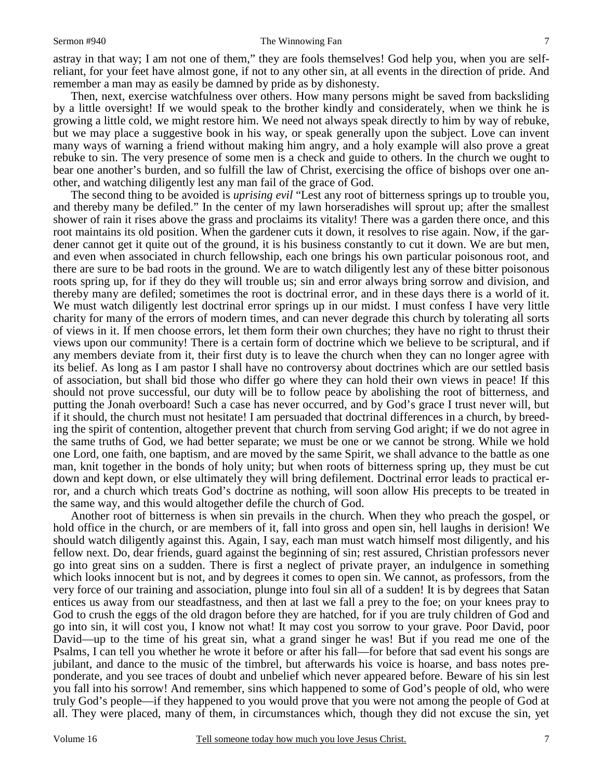#### Sermon #940 The Winnowing Fan

astray in that way; I am not one of them," they are fools themselves! God help you, when you are selfreliant, for your feet have almost gone, if not to any other sin, at all events in the direction of pride. And remember a man may as easily be damned by pride as by dishonesty.

Then, next, exercise watchfulness over others. How many persons might be saved from backsliding by a little oversight! If we would speak to the brother kindly and considerately, when we think he is growing a little cold, we might restore him. We need not always speak directly to him by way of rebuke, but we may place a suggestive book in his way, or speak generally upon the subject. Love can invent many ways of warning a friend without making him angry, and a holy example will also prove a great rebuke to sin. The very presence of some men is a check and guide to others. In the church we ought to bear one another's burden, and so fulfill the law of Christ, exercising the office of bishops over one another, and watching diligently lest any man fail of the grace of God.

The second thing to be avoided is *uprising evil* "Lest any root of bitterness springs up to trouble you, and thereby many be defiled." In the center of my lawn horseradishes will sprout up; after the smallest shower of rain it rises above the grass and proclaims its vitality! There was a garden there once, and this root maintains its old position. When the gardener cuts it down, it resolves to rise again. Now, if the gardener cannot get it quite out of the ground, it is his business constantly to cut it down. We are but men, and even when associated in church fellowship, each one brings his own particular poisonous root, and there are sure to be bad roots in the ground. We are to watch diligently lest any of these bitter poisonous roots spring up, for if they do they will trouble us; sin and error always bring sorrow and division, and thereby many are defiled; sometimes the root is doctrinal error, and in these days there is a world of it. We must watch diligently lest doctrinal error springs up in our midst. I must confess I have very little charity for many of the errors of modern times, and can never degrade this church by tolerating all sorts of views in it. If men choose errors, let them form their own churches; they have no right to thrust their views upon our community! There is a certain form of doctrine which we believe to be scriptural, and if any members deviate from it, their first duty is to leave the church when they can no longer agree with its belief. As long as I am pastor I shall have no controversy about doctrines which are our settled basis of association, but shall bid those who differ go where they can hold their own views in peace! If this should not prove successful, our duty will be to follow peace by abolishing the root of bitterness, and putting the Jonah overboard! Such a case has never occurred, and by God's grace I trust never will, but if it should, the church must not hesitate! I am persuaded that doctrinal differences in a church, by breeding the spirit of contention, altogether prevent that church from serving God aright; if we do not agree in the same truths of God, we had better separate; we must be one or we cannot be strong. While we hold one Lord, one faith, one baptism, and are moved by the same Spirit, we shall advance to the battle as one man, knit together in the bonds of holy unity; but when roots of bitterness spring up, they must be cut down and kept down, or else ultimately they will bring defilement. Doctrinal error leads to practical error, and a church which treats God's doctrine as nothing, will soon allow His precepts to be treated in the same way, and this would altogether defile the church of God.

Another root of bitterness is when sin prevails in the church. When they who preach the gospel, or hold office in the church, or are members of it, fall into gross and open sin, hell laughs in derision! We should watch diligently against this. Again, I say, each man must watch himself most diligently, and his fellow next. Do, dear friends, guard against the beginning of sin; rest assured, Christian professors never go into great sins on a sudden. There is first a neglect of private prayer, an indulgence in something which looks innocent but is not, and by degrees it comes to open sin. We cannot, as professors, from the very force of our training and association, plunge into foul sin all of a sudden! It is by degrees that Satan entices us away from our steadfastness, and then at last we fall a prey to the foe; on your knees pray to God to crush the eggs of the old dragon before they are hatched, for if you are truly children of God and go into sin, it will cost you, I know not what! It may cost you sorrow to your grave. Poor David, poor David—up to the time of his great sin, what a grand singer he was! But if you read me one of the Psalms, I can tell you whether he wrote it before or after his fall—for before that sad event his songs are jubilant, and dance to the music of the timbrel, but afterwards his voice is hoarse, and bass notes preponderate, and you see traces of doubt and unbelief which never appeared before. Beware of his sin lest you fall into his sorrow! And remember, sins which happened to some of God's people of old, who were truly God's people—if they happened to you would prove that you were not among the people of God at all. They were placed, many of them, in circumstances which, though they did not excuse the sin, yet